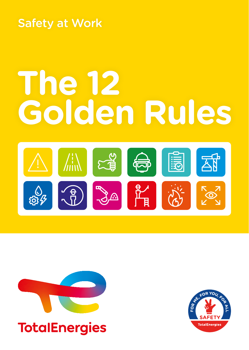Safety at Work

# **The 12 Golden Rules**





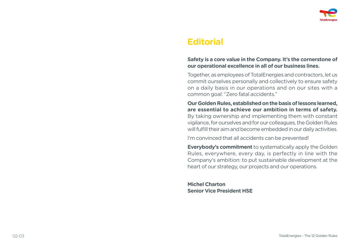

### **Editorial**

### **Safety is a core value in the Company. It's the cornerstone of our operational excellence in all of our business lines.**

Together, as employees of TotalEnergies and contractors, let us commit ourselves personally and collectively to ensure safety on a daily basis in our operations and on our sites with a common goal: "Zero fatal accidents."

**Our Golden Rules, established on the basis of lessons learned, are essential to achieve our ambition in terms of safety.**  By taking ownership and implementing them with constant vigilance, for ourselves and for our colleagues, the Golden Rules will fulfill their aim and become embedded in our daily activities.

I'm convinced that all accidents can be prevented!

**Everybody's commitment** to systematically apply the Golden Rules, everywhere, every day, is perfectly in line with the Company's ambition: to put sustainable development at the heart of our strategy, our projects and our operations.

**Michel Charton Senior Vice President HSE**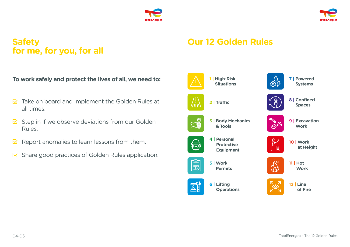



# **Safety for me, for you, for all**

**To work safely and protect the lives of all, we need to:** 

- $\triangleright$  Take on board and implement the Golden Rules at all times.
- $\triangleright$  Step in if we observe deviations from our Golden Rules.
- Report anomalies to learn lessons from them. ⊠
- Share good practices of Golden Rules application.  $\nabla$

# **Our 12 Golden Rules**

















**10 | Work at Height**



**11 | Hot Work**



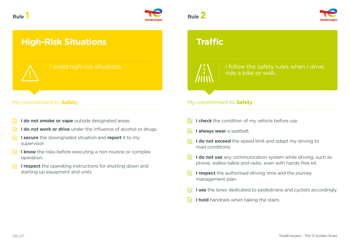

# **High-Risk Situations**

### My commitment to **Safety**:

- **I do not smoke or vape** outside designated areas.
- **I do not work or drive** under the influence of alcohol or drugs.
- **I** secure the downgraded situation and report it to my supervisor.
- $\overline{\triangledown}$  **I know** the risks before executing a non-routine or complex operation.
- **I respect** the operating instructions for shutting down and starting up equipment and units.





## **Traffic**

I follow the safety rules when I drive, ride a bike or walk.

### My commitment to **Safety**:

- $\overline{V}_1$  **I check** the condition of my vehicle before use.
- **I always wear** a seatbelt. M.
- **I do not exceed** the speed limit and adapt my driving to road conditions.
- **I do not use** any communication system while driving, such as phone, walkie-talkie and radio, even with hands-free kit.
- $\leq$  **I respect** the authorised driving time and the journey management plan.
- **I** use the lanes dedicated to pedestrians and cyclists accordingly.
- **I hold** handrails when taking the stairs.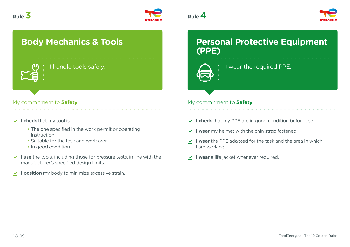







# **Body Mechanics & Tools**



I handle tools safely.

### My commitment to **Safety**: My commitment to **Safety**: My commitment to **Safety**:

### **I check** that my tool is:

- The one specified in the work permit or operating instruction
- Suitable for the task and work area
- In good condition
- **I use** the tools, including those for pressure tests, in line with the manufacturer's specified design limits.
- **I position** my body to minimize excessive strain. M.

### **Personal Protective Equipment (PPE)**



I wear the required PPE.

- $\nabla$  **I check** that my PPE are in good condition before use.
- **I** wear my helmet with the chin strap fastened.
- **I** wear the PPE adapted for the task and the area in which I am working.
- **I wear** a life jacket whenever required.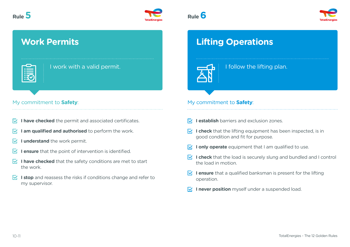



# **Work Permits**

I work with a valid permit.

### My commitment to **Safety**: My commitment to **Safety**: My commitment to **Safety**:

- **I have checked** the permit and associated certificates. M.
- **I am qualified and authorised** to perform the work.
- **I understand** the work permit. M
- **I ensure** that the point of intervention is identified.
- $\sqrt{ }$  **I have checked** that the safety conditions are met to start the work.
- **I stop** and reassess the risks if conditions change and refer to my supervisor.





# **Lifting Operations**

I follow the lifting plan.

- **I establish** barriers and exclusion zones.
- $\nabla$  **I check** that the lifting equipment has been inspected, is in good condition and fit for purpose.
- **If I** only operate equipment that I am qualified to use.
- **I check** that the load is securely slung and bundled and I control the load in motion.
- **I lensure** that a qualified banksman is present for the lifting operation.
- **I never position** myself under a suspended load.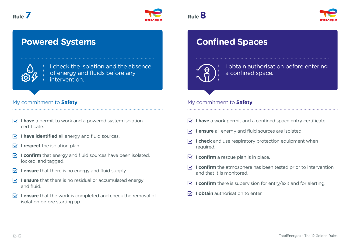



## **Powered Systems**



I check the isolation and the absence of energy and fluids before any intervention.

### My commitment to **Safety**: My commitment to **Safety**: My commitment to **Safety**:

- $\nabla$  **I have** a permit to work and a powered system isolation certificate.
- **I have identified** all energy and fluid sources.
- **I I** respect the isolation plan.
- **I confirm** that energy and fluid sources have been isolated. locked, and tagged.
- **I ensure** that there is no energy and fluid supply.
- **IV I ensure** that there is no residual or accumulated energy and fluid.
- **I ensure** that the work is completed and check the removal of isolation before starting up.



# **Confined Spaces**



I obtain authorisation before entering a confined space.

- **I have** a work permit and a confined space entry certificate.
- **I ensure** all energy and fluid sources are isolated.
- **I check** and use respiratory protection equipment when required.
- **I confirm** a rescue plan is in place.
- **I confirm** the atmosphere has been tested prior to intervention and that it is monitored.
- **I confirm** there is supervision for entry/exit and for alerting.
- **I obtain** authorisation to enter.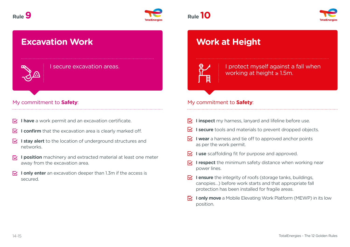

# **Excavation Work**

I secure excavation areas.

### My commitment to **Safety**: My commitment to **Safety**: My commitment to **Safety**:

- **I have** a work permit and an excavation certificate.  $\nabla$
- **I confirm** that the excavation area is clearly marked off. IV.
- **I stay alert** to the location of underground structures and networks.
- **I position** machinery and extracted material at least one meter away from the excavation area.
- **I** only enter an excavation deeper than 1.3m if the access is secured.



# **Work at Height**

I protect myself against a fall when working at height ≥ 1.5m.

- **I** inspect my harness, lanyard and lifeline before use.
- **I I secure** tools and materials to prevent dropped objects.
- **I** wear a harness and tie off to approved anchor points as per the work permit.
- **I** use scaffolding fit for purpose and approved.
- **I I respect** the minimum safety distance when working near power lines.
- **I ensure** the integrity of roofs (storage tanks, buildings, canopies…) before work starts and that appropriate fall protection has been installed for fragile areas.
- **IV.** I only move a Mobile Elevating Work Platform (MEWP) in its low position.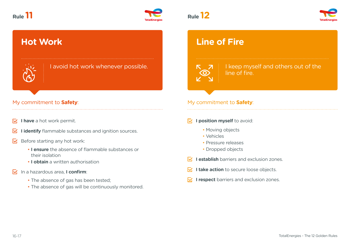



# **Hot Work**



I avoid hot work whenever possible.

### My commitment to **Safety**: My commitment to **Safety**: My commitment to **Safety**:

- **I have** a hot work permit.
- **I identify** flammable substances and ignition sources. ₩
- Before starting any hot work: IV.
	- **I ensure** the absence of flammable substances or their isolation
	- **I obtain** a written authorisation
- In a hazardous area, **I confirm**:
	- The absence of gas has been tested;
	- The absence of gas will be continuously monitored.

# **Line of Fire**

I keep myself and others out of the line of fire.

### **I position myself** to avoid:

- Moving objects
- Vehicles
- Pressure releases
- Dropped objects
- **IV.** Lestablish barriers and exclusion zones.
- **I take action** to secure loose objects. R.
- **I respect** barriers and exclusion zones.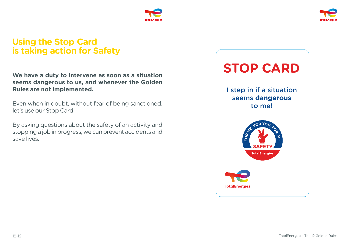



### **Using the Stop Card is taking action for Safety**

**We have a duty to intervene as soon as a situation seems dangerous to us, and whenever the Golden Rules are not implemented.**

Even when in doubt, without fear of being sanctioned, let's use our Stop Card!

By asking questions about the safety of an activity and stopping a job in progress, we can prevent accidents and save lives.